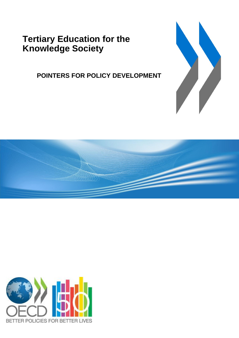**Tertiary Education for the Knowledge Society**

**POINTERS FOR POLICY DEVELOPMENT**





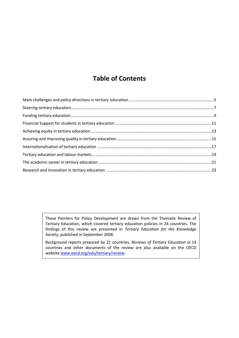# **Table of Contents**

These Pointers for Policy Development are drawn from the Thematic Review of Tertiary Education, which covered tertiary education policies in 24 countries. The findings of this review are presented in *Tertiary Education for the Knowledge Society*, published in September 2008.

Background reports prepared by 21 countries, *Reviews of Tertiary Education* in 14 countries and other documents of the review are also available on the OECD website [www.oecd.org/edu/tertiary/review.](http://www.oecd.org/edu/tertiary/review)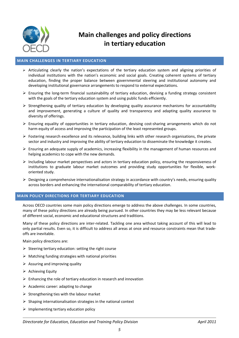

# **Main challenges and policy directions in tertiary education**

# **MAIN CHALLENGES IN TERTIARY EDUCATION**

- $\triangleright$  Articulating clearly the nation's expectations of the tertiary education system and aligning priorities of individual institutions with the nation's economic and social goals. Creating coherent systems of tertiary education, finding the proper balance between governmental steering and institutional autonomy and developing institutional governance arrangements to respond to external expectations.
- $\triangleright$  Ensuring the long-term financial sustainability of tertiary education, devising a funding strategy consistent with the goals of the tertiary education system and using public funds efficiently.
- $\triangleright$  Strengthening quality of tertiary education by developing quality assurance mechanisms for accountability and improvement, generating a culture of quality and transparency and adapting quality assurance to diversity of offerings.
- $\triangleright$  Ensuring equality of opportunities in tertiary education, devising cost-sharing arrangements which do not harm equity of access and improving the participation of the least represented groups.
- Fostering research excellence and its relevance, building links with other research organisations, the private sector and industry and improving the ability of tertiary education to disseminate the knowledge it creates.
- $\triangleright$  Ensuring an adequate supply of academics, increasing flexibility in the management of human resources and helping academics to cope with the new demands.
- $\triangleright$  Including labour market perspectives and actors in tertiary education policy, ensuring the responsiveness of institutions to graduate labour market outcomes and providing study opportunities for flexible, workoriented study.
- Designing a comprehensive internationalisation strategy in accordance with country's needs, ensuring quality across borders and enhancing the international comparability of tertiary education.

#### **MAIN POLICY DIRECTIONS FOR TERTIARY EDUCATION**

Across OECD countries some main policy directions emerge to address the above challenges. In some countries, many of these policy directions are already being pursued. In other countries they may be less relevant because of different social, economic and educational structures and traditions.

Many of these policy directions are inter-related. Tackling one area without taking account of this will lead to only partial results. Even so, it is difficult to address all areas at once and resource constraints mean that tradeoffs are inevitable.

Main policy directions are:

- $\triangleright$  Steering tertiary education: setting the right course
- $\triangleright$  Matching funding strategies with national priorities
- $\triangleright$  Assuring and improving quality
- $\triangleright$  Achieving Equity
- $\triangleright$  Enhancing the role of tertiary education in research and innovation
- $\triangleright$  Academic career: adapting to change
- $\triangleright$  Strengthening ties with the labour market
- $\triangleright$  Shaping internationalisation strategies in the national context
- $\triangleright$  Implementing tertiary education policy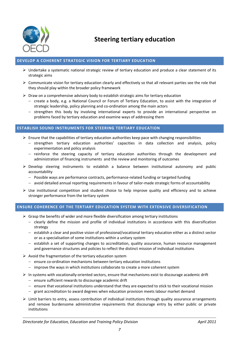

# **Steering tertiary education**

# **DEVELOP A COHERENT STRATEGIC VISION FOR TERTIARY EDUCATION**

- $\triangleright$  Undertake a systematic national strategic review of tertiary education and produce a clear statement of its strategic aims
- $\triangleright$  Communicate vision for tertiary education clearly and effectively so that all relevant parties see the role that they should play within the broader policy framework
- $\triangleright$  Draw on a comprehensive advisory body to establish strategic aims for tertiary education
	- create a body, e.g. a National Council or Forum of Tertiary Education, to assist with the integration of strategic leadership, policy planning and co-ordination among the main actors
	- strengthen this body by involving international experts to provide an international perspective on problems faced by tertiary education and examine ways of addressing them

# **ESTABLISH SOUND INSTRUMENTS FOR STEERING TERTIARY EDUCATION**

- $\triangleright$  Ensure that the capabilities of tertiary education authorities keep pace with changing responsibilities
	- strengthen tertiary education authorities' capacities in data collection and analysis, policy experimentation and policy analysis
	- $-$  reinforce the steering capacity of tertiary education authorities through the development and administration of financing instruments and the review and monitoring of outcomes
- $\triangleright$  Develop steering instruments to establish a balance between institutional autonomy and public accountability
	- Possible ways are performance contracts, performance-related funding or targeted funding
	- avoid detailed annual reporting requirements in favour of tailor-made strategic forms of accountability
- $\triangleright$  Use institutional competition and student choice to help improve quality and efficiency and to achieve stronger performance from the tertiary system

# **ENSURE COHERENCE OF THE TERTIARY EDUCATION SYSTEM WITH EXTENSIVE DIVERSIFICATION**

- $\triangleright$  Grasp the benefits of wider and more flexible diversification among tertiary institutions
	- $-$  clearly define the mission and profile of individual institutions in accordance with this diversification strategy
	- $-$  establish a clear and positive vision of professional/vocational tertiary education either as a distinct sector or as a specialisation of some institutions within a unitary system
	- $-$  establish a set of supporting changes to accreditation, quality assurance, human resource management and governance structures and policies to reflect the distinct mission of individual institutions
- $\triangleright$  Avoid the fragmentation of the tertiary education system
	- ensure co-ordination mechanisms between tertiary education institutions
	- improve the ways in which institutions collaborate to create a more coherent system
- $\triangleright$  In systems with vocationally-oriented sectors, ensure that mechanisms exist to discourage academic drift
	- $-$  ensure sufficient rewards to discourage academic drift
	- $-$  ensure that vocational institutions understand that they are expected to stick to their vocational mission
	- grant accreditation to award degrees when education provision meets labour market demand
- $\triangleright$  Limit barriers to entry, assess contribution of individual institutions through quality assurance arrangements and remove burdensome administrative requirements that discourage entry by either public or private institutions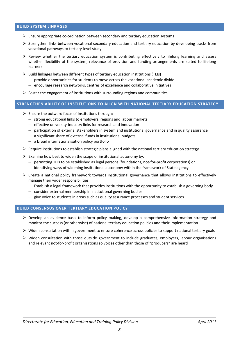# **BUILD SYSTEM LINKAGES**

- $\triangleright$  Ensure appropriate co-ordination between secondary and tertiary education systems
- $\triangleright$  Strengthen links between vocational secondary education and tertiary education by developing tracks from vocational pathways to tertiary-level study
- $\triangleright$  Review whether the tertiary education system is contributing effectively to lifelong learning and assess whether flexibility of the system, relevance of provision and funding arrangements are suited to lifelong learners
- $\triangleright$  Build linkages between different types of tertiary education institutions (TEIs)
	- $-$  provide opportunities for students to move across the vocational-academic divide
	- encourage research networks, centres of excellence and collaborative initiatives
- $\triangleright$  Foster the engagement of institutions with surrounding regions and communities

# **STRENGTHEN ABILITY OF INSTITUTIONS TO ALIGN WITH NATIONAL TERTIARY EDUCATION STRATEGY**

- $\triangleright$  Ensure the outward focus of institutions through:
	- $-$  strong educational links to employers, regions and labour markets
	- effective university-industry links for research and innovation
	- $-$  participation of external stakeholders in system and institutional governance and in quality assurance
	- a significant share of external funds in institutional budgets
	- a broad internationalisation policy portfolio
- $\triangleright$  Require institutions to establish strategic plans aligned with the national tertiary education strategy
- $\triangleright$  Examine how best to widen the scope of institutional autonomy by:
	- permitting TEIs to be established as legal persons (foundations, not-for-profit corporations) or
	- $\overline{a}$  identifying ways of widening institutional autonomy within the framework of State agency
- Create a national policy framework towards institutional governance that allows institutions to effectively manage their wider responsibilities
	- $-$  Establish a legal framework that provides institutions with the opportunity to establish a governing body
	- $-$  consider external membership in institutional governing bodies
	- $-$  give voice to students in areas such as quality assurance processes and student services

## **BUILD CONSENSUS OVER TERTIARY EDUCATION POLICY**

- $\triangleright$  Develop an evidence basis to inform policy making, develop a comprehensive information strategy and monitor the success (or otherwise) of national tertiary education policies and their implementation
- $\triangleright$  Widen consultation within government to ensure coherence across policies to support national tertiary goals
- $\triangleright$  Widen consultation with those outside government to include graduates, employers, labour organisations and relevant not-for-profit organisations so voices other than those of "producers" are heard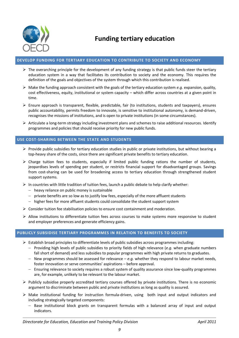

# **DEVELOP FUNDING FOR TERTIARY EDUCATION TO CONTRIBUTE TO SOCIETY AND ECONOMY**

- $\triangleright$  The overarching principle for the development of any funding strategy is that public funds steer the tertiary education system in a way that facilitates its contribution to society and the economy. This requires the definition of the goals and objectives of the system through which this contribution is realised.
- $\triangleright$  Make the funding approach consistent with the goals of the tertiary education system *e.g.* expansion, quality, cost effectiveness, equity, institutional or system capacity – which differ across countries at a given point in time.
- $\triangleright$  Ensure approach is transparent, flexible, predictable, fair (to institutions, students and taxpayers), ensures public accountability, permits freedom to innovate, is sensitive to institutional autonomy, is demand-driven, recognises the missions of institutions, and is open to private institutions (in some circumstances).
- $\triangleright$  Articulate a long-term strategy including investment plans and schemes to raise additional resources. Identify programmes and policies that should receive priority for new public funds.

# **USE COST-SHARING BETWEEN THE STATE AND STUDENTS**

- $\triangleright$  Provide public subsidies for tertiary education studies in public or private institutions, but without bearing a top-heavy share of the costs, since there are significant private benefits to tertiary education.
- $\triangleright$  Charge tuition fees to students, especially if limited public funding rations the number of students, jeopardises levels of spending per student, or restricts financial support for disadvantaged groups. Savings from cost-sharing can be used for broadening access to tertiary education through strengthened student support systems.
- $\triangleright$  In countries with little tradition of tuition fees, launch a public debate to help clarify whether:
	- $-$  heavy reliance on public money is sustainable
	- $-$  private benefits are so low as to justify low fees, especially of the more affluent students
	- $-$  higher fees for more affluent students could consolidate the student support system
- $\triangleright$  Consider tuition fee stabilisation policies to ensure cost containment and moderation.
- $\triangleright$  Allow institutions to differentiate tuition fees across courses to make systems more responsive to student and employer preferences and generate efficiency gains.

# **PUBLICLY SUBSIDISE TERTIARY PROGRAMMES IN RELATION TO BENEFITS TO SOCIETY**

- $\triangleright$  Establish broad principles to differentiate levels of public subsidies across programmes including:
	- Providing high levels of public subsidies to priority fields of high relevance (*e.g.* when graduate numbers fall short of demand) and less subsidies to popular programmes with high private returns to graduates.
	- $-$  New programmes should be assessed for relevance  $-e.a$ . whether they respond to labour market needs. foster innovation or serve communities' aspirations – before approval.
	- Ensuring relevance to society requires a robust system of quality assurance since low-quality programmes are, for example, unlikely to be relevant to the labour market.
- $\triangleright$  Publicly subsidise properly accredited tertiary courses offered by private institutions. There is no economic argument to discriminate between public and private institutions as long as quality is assured.
- $\triangleright$  Make institutional funding for instruction formula-driven, using both input and output indicators and including strategically targeted components:
	- $-$  Base institutional block grants on transparent formulas with a balanced array of input and output indicators.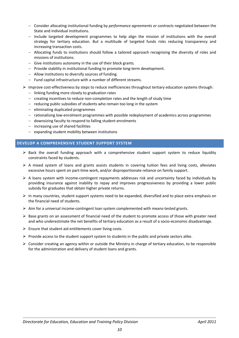- Consider allocating institutional funding by *performance agreements or contracts* negotiated between the State and individual institutions.
- Include targeted development programmes to help align the mission of institutions with the overall strategy for tertiary education. But a multitude of targeted funds risks reducing transparency and increasing transaction costs.
- Allocating funds to institutions should follow a tailored approach recognising the diversity of roles and missions of institutions.
- $-$  Give institutions autonomy in the use of their block grants.
- Provide stability in institutional funding to promote long-term development.
- Allow institutions to diversify sources of funding.
- $-$  Fund capital infrastructure with a number of different streams.
- $\triangleright$  Improve cost-effectiveness by steps to reduce inefficiencies throughout tertiary education systems through:
	- $-$  linking funding more closely to graduation rates
	- $-$  creating incentives to reduce non-completion rates and the length of study time
	- $-$  reducing public subsidies of students who remain too long in the system
	- $-$  eliminating duplicated programmes
	- rationalising low-enrolment programmes with possible redeployment of academics across programmes
	- downsizing faculty to respond to falling student enrolments
	- $-$  increasing use of shared facilities
	- $-$  expanding student mobility between institutions

## **DEVELOP A COMPREHENSIVE STUDENT SUPPORT SYSTEM**

- $\triangleright$  Back the overall funding approach with a comprehensive student support system to reduce liquidity constraints faced by students.
- $\triangleright$  A mixed system of loans and grants assists students in covering tuition fees and living costs, alleviates excessive hours spent on part-time work, and/or disproportionate reliance on family support.
- $\triangleright$  A loans system with income-contingent repayments addresses risk and uncertainty faced by individuals by providing insurance against inability to repay and improves progressiveness by providing a lower public subsidy for graduates that obtain higher private returns.
- $\triangleright$  In many countries, student support systems need to be expanded, diversified and to place extra emphasis on the financial need of students.
- $\triangleright$  Aim for a universal income-contingent loan system complemented with means-tested grants.
- $\triangleright$  Base grants on an assessment of financial need of the student to promote access of those with greater need and who underestimate the net benefits of tertiary education as a result of a socio-economic disadvantage.
- $\triangleright$  Ensure that student aid entitlements cover living costs.
- $\triangleright$  Provide access to the student support system to students in the public and private sectors alike.
- $\triangleright$  Consider creating an agency within or outside the Ministry in charge of tertiary education, to be responsible for the administration and delivery of student loans and grants.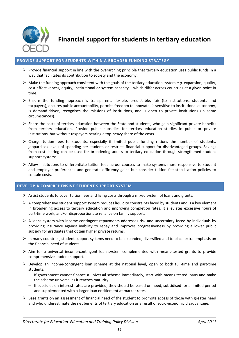

**Financial support for students in tertiary education**

# **PROVIDE SUPPORT FOR STUDENTS WITHIN A BROADER FUNDING STRATEGY**

- $\triangleright$  Provide financial support in line with the overarching principle that tertiary education uses public funds in a way that facilitates its contribution to society and the economy.
- $\triangleright$  Make the funding approach consistent with the goals of the tertiary education system *e.g.* expansion, quality, cost effectiveness, equity, institutional or system capacity – which differ across countries at a given point in time.
- $\triangleright$  Ensure the funding approach is transparent, flexible, predictable, fair (to institutions, students and taxpayers), ensures public accountability, permits freedom to innovate, is sensitive to institutional autonomy, is demand-driven, recognises the missions of institutions, and is open to private institutions (in some circumstances).
- $\triangleright$  Share the costs of tertiary education between the State and students, who gain significant private benefits from tertiary education. Provide public subsidies for tertiary education studies in public or private institutions, but without taxpayers bearing a top-heavy share of the costs.
- $\triangleright$  Charge tuition fees to students, especially if limited public funding rations the number of students, jeopardises levels of spending per student, or restricts financial support for disadvantaged groups. Savings from cost-sharing can be used for broadening access to tertiary education through strengthened student support systems.
- Allow institutions to differentiate tuition fees across courses to make systems more responsive to student and employer preferences and generate efficiency gains but consider tuition fee stabilisation policies to contain costs.

#### **DEVELOP A COMPREHENSIVE STUDENT SUPPORT SYSTEM**

- $\triangleright$  Assist students to cover tuition fees and living costs through a mixed system of loans and grants.
- $\triangleright$  A comprehensive student support system reduces liquidity constraints faced by students and is a key element in broadening access to tertiary education and improving completion rates. It alleviates excessive hours of part-time work, and/or disproportionate reliance on family support.
- $\triangleright$  A loans system with income-contingent repayments addresses risk and uncertainty faced by individuals by providing insurance against inability to repay and improves progressiveness by providing a lower public subsidy for graduates that obtain higher private returns.
- $\triangleright$  In many countries, student support systems need to be expanded, diversified and to place extra emphasis on the financial need of students.
- $\triangleright$  Aim for a universal income-contingent loan system complemented with means-tested grants to provide comprehensive student support.
- $\triangleright$  Develop an income-contingent loan scheme at the national level, open to both full-time and part-time students.
	- If government cannot finance a universal scheme immediately, start with means-tested loans and make the scheme universal as it reaches maturity.
	- If subsidies on interest rates are provided, they should be based on need, subsidised for a limited period and supplemented with a larger loan entitlement at market rates.
- $\triangleright$  Base grants on an assessment of financial need of the student to promote access of those with greater need and who underestimate the net benefits of tertiary education as a result of socio-economic disadvantage.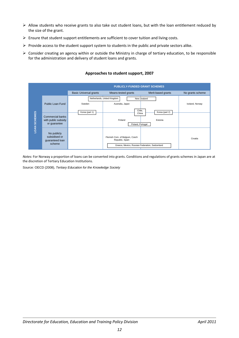- $\triangleright$  Allow students who receive grants to also take out student loans, but with the loan entitlement reduced by the size of the grant.
- $\triangleright$  Ensure that student support entitlements are sufficient to cover tuition and living costs.
- $\triangleright$  Provide access to the student support system to students in the public and private sectors alike.
- $\triangleright$  Consider creating an agency within or outside the Ministry in charge of tertiary education, to be responsible for the administration and delivery of student loans and grants.



# **Approaches to student support, 2007**

*Notes:* For Norway a proportion of loans can be converted into grants. Conditions and regulations of grants schemes in Japan are at the discretion of Tertiary Education Institutions.

Source: OECD (2008), *Tertiary Education for the Knowledge Society*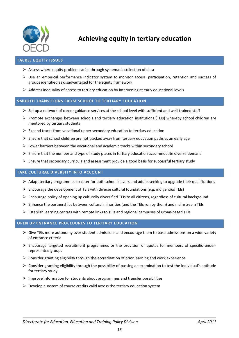

**Achieving equity in tertiary education**

# **TACKLE EQUITY ISSUES**

- $\triangleright$  Assess where equity problems arise through systematic collection of data
- $\triangleright$  Use an empirical performance indicator system to monitor access, participation, retention and success of groups identified as disadvantaged for the equity framework
- $\triangleright$  Address inequality of access to tertiary education by intervening at early educational levels

## **SMOOTH TRANSITIONS FROM SCHOOL TO TERTIARY EDUCATION**

- $\triangleright$  Set up a network of career guidance services at the school level with sufficient and well-trained staff
- $\triangleright$  Promote exchanges between schools and tertiary education institutions (TEIs) whereby school children are mentored by tertiary students
- $\triangleright$  Expand tracks from vocational upper secondary education to tertiary education
- $\triangleright$  Ensure that school children are not tracked away from tertiary education paths at an early age
- $\triangleright$  Lower barriers between the vocational and academic tracks within secondary school
- $\triangleright$  Ensure that the number and type of study places in tertiary education accommodate diverse demand
- $\triangleright$  Ensure that secondary curricula and assessment provide a good basis for successful tertiary study

## **TAKE CULTURAL DIVERSITY INTO ACCOUNT**

- $\triangleright$  Adapt tertiary programmes to cater for both school leavers and adults seeking to upgrade their qualifications
- $\triangleright$  Encourage the development of TEIs with diverse cultural foundations (*e.g.* indigenous TEIs)
- $\triangleright$  Encourage policy of opening up culturally diversified TEIs to all citizens, regardless of cultural background
- $\triangleright$  Enhance the partnerships between cultural minorities (and the TEIs run by them) and mainstream TEIs
- $\triangleright$  Establish learning centres with remote links to TEIs and regional campuses of urban-based TEIs

## **OPEN UP ENTRANCE PROCEDURES TO TERTIARY EDUCATION**

- $\triangleright$  Give TEIs more autonomy over student admissions and encourage them to base admissions on a wide variety of entrance criteria
- $\triangleright$  Encourage targeted recruitment programmes or the provision of quotas for members of specific underrepresented groups
- $\triangleright$  Consider granting eligibility through the accreditation of prior learning and work experience
- $\triangleright$  Consider granting eligibility through the possibility of passing an examination to test the individual's aptitude for tertiary study
- $\triangleright$  Improve information for students about programmes and transfer possibilities
- $\triangleright$  Develop a system of course credits valid across the tertiary education system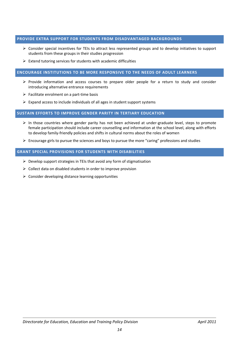# **PROVIDE EXTRA SUPPORT FOR STUDENTS FROM DISADVANTAGED BACKGROUNDS**

- Consider special incentives for TEIs to attract less represented groups and to develop initiatives to support students from these groups in their studies progression
- $\triangleright$  Extend tutoring services for students with academic difficulties

## **ENCOURAGE INSTITUTIONS TO BE MORE RESPONSIVE TO THE NEEDS OF ADULT LEARNERS**

- $\triangleright$  Provide information and access courses to prepare older people for a return to study and consider introducing alternative entrance requirements
- $\triangleright$  Facilitate enrolment on a part-time basis
- $\triangleright$  Expand access to include individuals of all ages in student support systems

## **SUSTAIN EFFORTS TO IMPROVE GENDER PARITY IN TERTIARY EDUCATION**

- $\triangleright$  In those countries where gender parity has not been achieved at under-graduate level, steps to promote female participation should include career counselling and information at the school level, along with efforts to develop family-friendly policies and shifts in cultural norms about the roles of women
- $\triangleright$  Encourage girls to pursue the sciences and boys to pursue the more "caring" professions and studies

## **GRANT SPECIAL PROVISIONS FOR STUDENTS WITH DISABILITIES**

- $\triangleright$  Develop support strategies in TEIs that avoid any form of stigmatisation
- $\triangleright$  Collect data on disabled students in order to improve provision
- $\triangleright$  Consider developing distance learning opportunities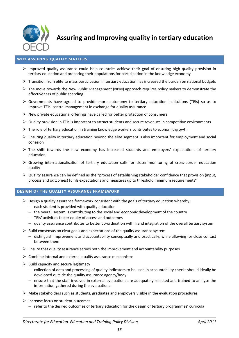

**Assuring and Improving quality in tertiary education**

# **WHY ASSURING QUALITY MATTERS**

- $\triangleright$  Improved quality assurance could help countries achieve their goal of ensuring high quality provision in tertiary education and preparing their populations for participation in the knowledge economy
- $\triangleright$  Transition from elite to mass participation in tertiary education has increased the burden on national budgets
- $\triangleright$  The move towards the New Public Management (NPM) approach requires policy makers to demonstrate the effectiveness of public spending
- $\triangleright$  Governments have agreed to provide more autonomy to tertiary education institutions (TEIs) so as to improve TEIs' central management in exchange for quality assurance
- $\triangleright$  New private educational offerings have called for better protection of consumers
- $\triangleright$  Quality provision in TEIs is important to attract students and secure revenues in competitive environments
- $\triangleright$  The role of tertiary education in training knowledge workers contributes to economic growth
- $\triangleright$  Ensuring quality in tertiary education beyond the elite segment is also important for employment and social cohesion
- $\triangleright$  The shift towards the new economy has increased students and employers' expectations of tertiary education
- $\triangleright$  Growing internationalisation of tertiary education calls for closer monitoring of cross-border education quality
- $\triangleright$  Quality assurance can be defined as the "process of establishing stakeholder confidence that provision (input, process and outcomes) fulfils expectations and measures up to threshold minimum requirements"

## **DESIGN OF THE QUALITY ASSURANCE FRAMEWORK**

- $\triangleright$  Design a quality assurance framework consistent with the goals of tertiary education whereby:
	- $-$  each student is provided with quality education
	- $-$  the overall system is contributing to the social and economic development of the country
	- TEIs' activities foster equity of access and outcomes
	- quality assurance contributes to better co-ordination within and integration of the overall tertiary system
- $\triangleright$  Build consensus on clear goals and expectations of the quality assurance system
	- distinguish improvement and accountability conceptually and practically, while allowing for close contact between them
- $\triangleright$  Ensure that quality assurance serves both the improvement and accountability purposes
- $\triangleright$  Combine internal and external quality assurance mechanisms
- $\triangleright$  Build capacity and secure legitimacy
	- collection of data and processing of quality indicators to be used in accountability checks should ideally be developed outside the quality assurance agency/body
	- $-$  ensure that the staff involved in external evaluations are adequately selected and trained to analyse the information gathered during the evaluations
- $\triangleright$  Make stakeholders such as students, graduates and employers visible in the evaluation procedures
- $\triangleright$  Increase focus on student outcomes
	- $-$  refer to the desired outcomes of tertiary education for the design of tertiary programmes' curricula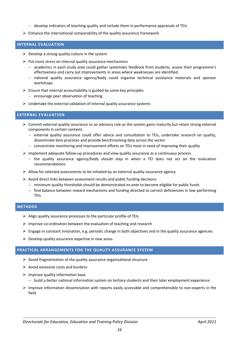- $-$  develop indicators of teaching quality and include them in performance appraisals of TEIs
- $\triangleright$  Enhance the international comparability of the quality assurance framework

## **INTERNAL EVALUATION**

- $\triangleright$  Develop a strong quality culture in the system
- $\triangleright$  Put more stress on internal quality assurance mechanisms
	- academics in each study area could gather systematic feedback from students, assess their programme's effectiveness and carry out improvements in areas where weaknesses are identified
	- national quality assurance agency/body could organise technical assistance materials and sponsor workshops
- $\triangleright$  Ensure that internal accountability is guided by some key principles
	- $-$  encourage peer observation of teaching
- $\triangleright$  Undertake the external validation of internal quality assurance systems

## **EXTERNAL EVALUATION**

- $\triangleright$  Commit external quality assurance to an advisory role as the system gains maturity but retain strong external components in certain contexts
	- $-$  external quality assurance could offer advice and consultation to TEIs, undertake research on quality, disseminate best practices and provide benchmarking data across the sector
	- concentrate monitoring and improvement efforts on TEIs most in need of improving their quality
- $\triangleright$  Implement adequate follow-up procedures and view quality assurance as a continuous process
	- $-$  the quality assurance agency/body should step in when a TEI does not act on the evaluation recommendations
- $\triangleright$  Allow for selected assessments to be initiated by an external quality assurance agency
- $\triangleright$  Avoid direct links between assessment results and public funding decisions
	- minimum quality thresholds should be demonstrated *ex-ante* to become eligible for public funds
	- find balance between reward mechanisms and funding directed to correct deficiencies in low-performing TEIs

# **METHODS**

- $\triangleright$  Align quality assurance processes to the particular profile of TEIs
- $\triangleright$  Improve co-ordination between the evaluation of teaching and research
- $\triangleright$  Engage in constant innovation, e.g. periodic change in both objectives and in the quality assurance agencies
- $\triangleright$  Develop quality assurance expertise in new areas

## **PRACTICAL ARRANGEMENTS FOR THE QUALITY ASSURANCE SYSTEM**

- $\triangleright$  Avoid fragmentation of the quality assurance organisational structure
- $\triangleright$  Avoid excessive costs and burdens
- $\triangleright$  Improve quality information base
	- $-$  build a better national information system on tertiary students and their later employment experience
- $\triangleright$  Improve information dissemination with reports easily accessible and comprehensible to non-experts in the field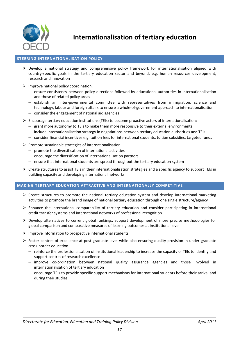

**Internationalisation of tertiary education**

## **STEERING INTERNATIONALISATION POLICY**

- $\triangleright$  Develop a national strategy and comprehensive policy framework for internationalisation aligned with country-specific goals in the tertiary education sector and beyond, e.g. human resources development, research and innovation
- $\triangleright$  Improve national policy coordination:
	- ensure consistency between policy directions followed by educational authorities in internationalisation and those of related policy areas
	- $-$  establish an inter-governmental committee with representatives from immigration, science and technology, labour and foreign affairs to ensure a whole-of-government approach to internationalisation
	- $-$  consider the engagement of national aid agencies
- $\triangleright$  Encourage tertiary education institutions (TEIs) to become proactive actors of internationalisation:
	- $-$  grant more autonomy to TEIs to make them more responsive to their external environments
	- include internationalisation strategy in negotiations between tertiary education authorities and TEIs
	- consider financial incentives e.g. tuition fees for international students, tuition subsidies, targeted funds
- $\triangleright$  Promote sustainable strategies of internationalisation
	- $-$  promote the diversification of international activities
	- $e$  encourage the diversification of internationalisation partners
	- $-$  ensure that international students are spread throughout the tertiary education system
- $\triangleright$  Create structures to assist TEIs in their internationalisation strategies and a specific agency to support TEIs in building capacity and developing international networks

## **MAKING TERTIARY EDUCATION ATTRACTIVE AND INTERNATIONALLY COMPETITIVE**

- $\triangleright$  Create structures to promote the national tertiary education system and develop international marketing activities to promote the brand image of national tertiary education through one single structure/agency
- $\triangleright$  Enhance the international comparability of tertiary education and consider participating in international credit transfer systems and international networks of professional recognition
- $\triangleright$  Develop alternatives to current global rankings: support development of more precise methodologies for global comparison and comparative measures of learning outcomes at institutional level
- $\triangleright$  Improve information to prospective international students
- $\triangleright$  Foster centres of excellence at post-graduate level while also ensuring quality provision in under-graduate cross-border education:
	- reinforce the professionalisation of institutional leadership to increase the capacity of TEIs to identify and support centres of research excellence
	- $-$  improve co-ordination between national quality assurance agencies and those involved in internationalisation of tertiary education
	- encourage TEIs to provide specific support mechanisms for international students before their arrival and during their studies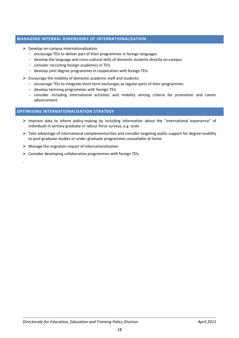# **MANAGING INTERNAL DIMENSIONS OF INTERNATIONALISATION**

- $\triangleright$  Develop on-campus internationalisation:
	- $-$  encourage TEIs to deliver part of their programmes in foreign languages
	- develop the language and cross-cultural skills of domestic students directly on-campus
	- consider recruiting foreign academics in TEIs
	- develop joint degree programmes in cooperation with foreign TEIs
- $\triangleright$  Encourage the mobility of domestic academic staff and students:
	- encourage TEIs to integrate short-term exchanges as regular parts of their programmes
	- develop twinning programmes with foreign TEIs
	- consider including international activities and mobility among criteria for promotion and career advancement

# **OPTIMISING INTERNATIONALISATION STRATEGY**

- Improve data to inform policy-making by including information about the "international experience" of individuals in tertiary graduate or labour force surveys, e.g. costs
- $\triangleright$  Take advantage of international complementarities and consider targeting public support for degree-mobility to post-graduate studies or under-graduate programmes unavailable at home
- $\triangleright$  Manage the migration impact of internationalisation

.

 $\triangleright$  Consider developing collaborative programmes with foreign TEIs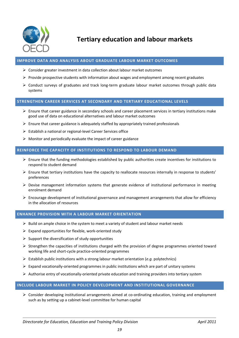

**Tertiary education and labour markets**

# **IMPROVE DATA AND ANALYSIS ABOUT GRADUATE LABOUR MARKET OUTCOMES**

- $\triangleright$  Consider greater investment in data collection about labour market outcomes
- $\triangleright$  Provide prospective students with information about wages and employment among recent graduates
- Conduct surveys of graduates and track long-term graduate labour market outcomes through public data systems

#### **STRENGTHEN CAREER SERVICES AT SECONDARY AND TERTIARY EDUCATIONAL LEVELS**

- $\triangleright$  Ensure that career guidance in secondary schools and career placement services in tertiary institutions make good use of data on educational alternatives and labour market outcomes
- $\triangleright$  Ensure that career guidance is adequately staffed by appropriately trained professionals
- $\triangleright$  Establish a national or regional-level Career Services office
- $\triangleright$  Monitor and periodically evaluate the impact of career guidance

## **REINFORCE THE CAPACITY OF INSTITUTIONS TO RESPOND TO LABOUR DEMAND**

- $\triangleright$  Ensure that the funding methodologies established by public authorities create incentives for institutions to respond to student demand
- $\triangleright$  Ensure that tertiary institutions have the capacity to reallocate resources internally in response to students' preferences
- $\triangleright$  Devise management information systems that generate evidence of institutional performance in meeting enrolment demand
- $\triangleright$  Encourage development of institutional governance and management arrangements that allow for efficiency in the allocation of resources

## **ENHANCE PROVISION WITH A LABOUR MARKET ORIENTATION**

- $\triangleright$  Build on ample choice in the system to meet a variety of student and labour market needs
- $\triangleright$  Expand opportunities for flexible, work-oriented study
- $\triangleright$  Support the diversification of study opportunities
- $\triangleright$  Strengthen the capacities of institutions charged with the provision of degree programmes oriented toward working life and short-cycle practice-oriented programmes
- Establish public institutions with a strong labour market orientation (*e.g.* polytechnics)
- $\triangleright$  Expand vocationally-oriented programmes in public institutions which are part of unitary systems
- $\triangleright$  Authorise entry of vocationally-oriented private education and training providers into tertiary system

## **INCLUDE LABOUR MARKET IN POLICY DEVELOPMENT AND INSTITUTIONAL GOVERNANCE**

 $\triangleright$  Consider developing institutional arrangements aimed at co-ordinating education, training and employment such as by setting up a cabinet-level committee for human capital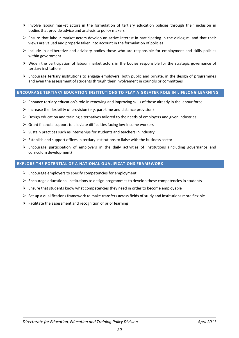- $\triangleright$  Involve labour market actors in the formulation of tertiary education policies through their inclusion in bodies that provide advice and analysis to policy makers
- $\triangleright$  Ensure that labour market actors develop an active interest in participating in the dialogue and that their views are valued and properly taken into account in the formulation of policies
- $\triangleright$  Include in deliberative and advisory bodies those who are responsible for employment and skills policies within government
- $\triangleright$  Widen the participation of labour market actors in the bodies responsible for the strategic governance of tertiary institutions
- $\triangleright$  Encourage tertiary institutions to engage employers, both public and private, in the design of programmes and even the assessment of students through their involvement in councils or committees

# **ENCOURAGE TERTIARY EDUCATION INSTITUTIONS TO PLAY A GREATER ROLE IN LIFELONG LEARNING**

- $\triangleright$  Enhance tertiary education's role in renewing and improving skills of those already in the labour force
- Increase the flexibility of provision (*e.g.* part-time and distance provision)
- $\triangleright$  Design education and training alternatives tailored to the needs of employers and given industries
- $\triangleright$  Grant financial support to alleviate difficulties facing low-income workers
- $\triangleright$  Sustain practices such as internships for students and teachers in industry
- $\triangleright$  Establish and support offices in tertiary institutions to liaise with the business sector
- $\triangleright$  Encourage participation of employers in the daily activities of institutions (including governance and curriculum development)

# **EXPLORE THE POTENTIAL OF A NATIONAL QUALIFICATIONS FRAMEWORK**

- $\triangleright$  Encourage employers to specify competencies for employment
- $\triangleright$  Encourage educational institutions to design programmes to develop these competencies in students
- $\triangleright$  Ensure that students know what competencies they need in order to become employable
- $\triangleright$  Set up a qualifications framework to make transfers across fields of study and institutions more flexible
- $\triangleright$  Facilitate the assessment and recognition of prior learning

.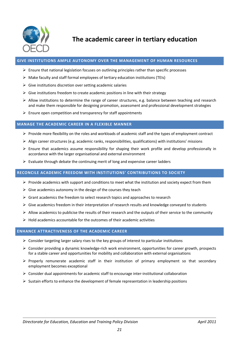

**The academic career in tertiary education**

## **GIVE INSTITUTIONS AMPLE AUTONOMY OVER THE MANAGEMENT OF HUMAN RESOURCES**

- $\triangleright$  Ensure that national legislation focuses on outlining principles rather than specific processes
- $\triangleright$  Make faculty and staff formal employees of tertiary education institutions (TEIs)
- $\triangleright$  Give institutions discretion over setting academic salaries
- $\triangleright$  Give institutions freedom to create academic positions in line with their strategy
- $\triangleright$  Allow institutions to determine the range of career structures, e.g. balance between teaching and research and make them responsible for designing promotion, assessment and professional development strategies
- $\triangleright$  Ensure open competition and transparency for staff appointments

## **MANAGE THE ACADEMIC CAREER IN A FLEXIBLE MANNER**

- $\triangleright$  Provide more flexibility on the roles and workloads of academic staff and the types of employment contract
- $\triangleright$  Align career structures (e.g. academic ranks, responsibilities, qualifications) with institutions' missions
- $\triangleright$  Ensure that academics assume responsibility for shaping their work profile and develop professionally in accordance with the larger organisational and external environment
- $\triangleright$  Evaluate through debate the continuing merit of long and expensive career ladders

## **RECONCILE ACADEMIC FREEDOM WITH INSTITUTIONS' CONTRIBUTIONS TO SOCIETY**

- $\triangleright$  Provide academics with support and conditions to meet what the institution and society expect from them
- $\triangleright$  Give academics autonomy in the design of the courses they teach
- $\triangleright$  Grant academics the freedom to select research topics and approaches to research
- $\triangleright$  Give academics freedom in their interpretation of research results and knowledge conveved to students
- $\triangleright$  Allow academics to publicise the results of their research and the outputs of their service to the community
- $\triangleright$  Hold academics accountable for the outcomes of their academic activities

## **ENHANCE ATTRACTIVENESS OF THE ACADEMIC CAREER**

- $\triangleright$  Consider targeting larger salary rises to the key groups of interest to particular institutions
- $\triangleright$  Consider providing a dynamic knowledge-rich work environment, opportunities for career growth, prospects for a stable career and opportunities for mobility and collaboration with external organisations
- $\triangleright$  Properly remunerate academic staff in their institution of primary employment so that secondary employment becomes exceptional
- $\triangleright$  Consider dual appointments for academic staff to encourage inter-institutional collaboration
- $\triangleright$  Sustain efforts to enhance the development of female representation in leadership positions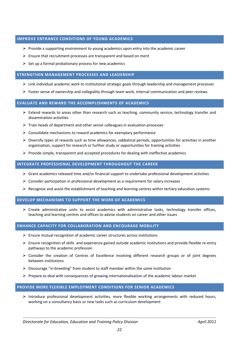# **IMPROVE ENTRANCE CONDITIONS OF YOUNG ACADEMICS**

- $\triangleright$  Provide a supporting environment to young academics upon entry into the academic career
- $\triangleright$  Ensure that recruitment processes are transparent and based on merit
- $\triangleright$  Set up a formal probationary process for new academics

## **STRENGTHEN MANAGEMENT PROCESSES AND LEADERSHIP**

- $\triangleright$  Link individual academic work to institutional strategic goals through leadership and management processes
- $\triangleright$  Foster sense of ownership and collegiality through team work, internal communication and peer reviews

## **EVALUATE AND REWARD THE ACCOMPLISHMENTS OF ACADEMICS**

- $\triangleright$  Extend rewards to areas other than research such as teaching, community service, technology transfer and dissemination activities
- $\triangleright$  Train heads of department and other senior colleagues in evaluation processes
- $\triangleright$  Consolidate mechanisms to reward academics for exemplary performance
- $\triangleright$  Diversify types of rewards such as time allowances, sabbatical periods, opportunities for activities in another organisation, support for research or further study or opportunities for training activities
- $\triangleright$  Provide simple, transparent and accepted procedures for dealing with ineffective academics

## **INTEGRATE PROFESSIONAL DEVELOPMENT THROUGHOUT THE CAREER**

- $\triangleright$  Grant academics released time and/or financial support to undertake professional development activities
- $\triangleright$  Consider participation in professional development as a requirement for salary increases
- $\triangleright$  Recognise and assist the establishment of teaching and learning centres within tertiary education systems

# **DEVELOP MECHANISMS TO SUPPORT THE WORK OF ACADEMICS**

 $\triangleright$  Create administrative units to assist academics with administrative tasks, technology transfer offices, teaching and learning centres and offices to advise students on career and other issues

# **ENHANCE CAPACITY FOR COLLABORATION AND ENCOURAGE MOBILITY**

- $\triangleright$  Ensure mutual recognition of academic career structures across institutions
- $\triangleright$  Ensure recognition of skills and experience gained outside academic institutions and provide flexible re-entry pathways to the academic profession
- $\triangleright$  Consider the creation of Centres of Excellence involving different research groups or of joint degrees between institutions
- $\triangleright$  Discourage "in-breeding" from student to staff member within the same institution
- $\triangleright$  Prepare to deal with consequences of growing internationalisation of the academic labour market

# **PROVIDE MORE FLEXIBLE EMPLOYMENT CONDITIONS FOR SENIOR ACADEMICS**

 $\triangleright$  Introduce professional development activities, more flexible working arrangements with reduced hours, working on a consultancy basis or new tasks such as curriculum development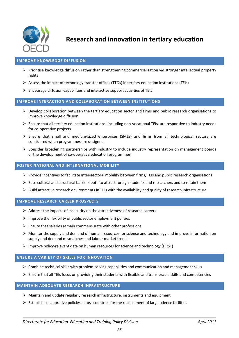

**Research and innovation in tertiary education** 

# **IMPROVE KNOWLEDGE DIFFUSION**

- Prioritise knowledge diffusion rather than strengthening commercialisation *via* stronger intellectual property rights
- $\triangleright$  Assess the impact of technology transfer offices (TTOs) in tertiary education institutions (TEIs)
- $\triangleright$  Encourage diffusion capabilities and interactive support activities of TEIs

## **IMPROVE INTERACTION AND COLLABORATION BETWEEN INSTITUTIONS**

- $\triangleright$  Develop collaboration between the tertiary education sector and firms and public research organisations to improve knowledge diffusion
- $\triangleright$  Ensure that all tertiary education institutions, including non-vocational TEIs, are responsive to industry needs for co-operative projects
- $\triangleright$  Ensure that small and medium-sized enterprises (SMEs) and firms from all technological sectors are considered when programmes are designed
- $\triangleright$  Consider broadening partnerships with industry to include industry representation on management boards or the development of co-operative education programmes

## **FOSTER NATIONAL AND INTERNATIONAL MOBILITY**

- $\triangleright$  Provide incentives to facilitate inter-sectoral mobility between firms, TEIs and public research organisations
- $\triangleright$  Ease cultural and structural barriers both to attract foreign students and researchers and to retain them
- $\triangleright$  Build attractive research environments in TEIs with the availability and quality of research infrastructure

#### **IMPROVE RESEARCH CAREER PROSPECTS**

- $\triangleright$  Address the impacts of insecurity on the attractiveness of research careers
- $\triangleright$  Improve the flexibility of public sector employment policies
- $\triangleright$  Ensure that salaries remain commensurate with other professions
- $\triangleright$  Monitor the supply and demand of human resources for science and technology and improve information on supply and demand mismatches and labour market trends
- $\triangleright$  Improve policy-relevant data on human resources for science and technology (HRST)

## **ENSURE A VARIETY OF SKILLS FOR INNOVATION**

- $\triangleright$  Combine technical skills with problem-solving capabilities and communication and management skills
- $\triangleright$  Ensure that all TEIs focus on providing their students with flexible and transferable skills and competencies

#### **MAINTAIN ADEQUATE RESEARCH INFRASTRUCTURE**

- $\triangleright$  Maintain and update regularly research infrastructure, instruments and equipment
- $\triangleright$  Establish collaborative policies across countries for the replacement of large science facilities